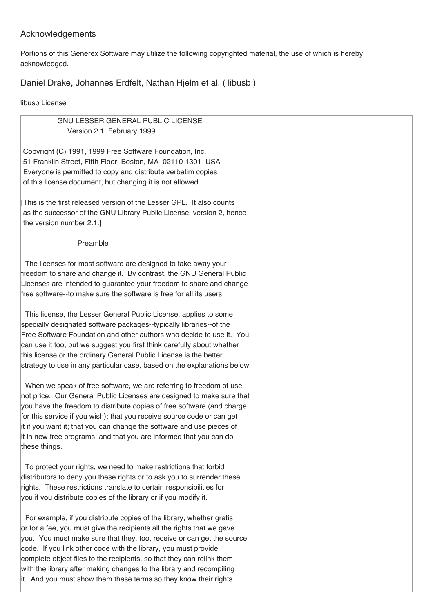### Acknowledgements

Portions of this Generex Software may utilize the following copyrighted material, the use of which is hereby acknowledged.

Daniel Drake, Johannes Erdfelt, Nathan Hjelm et al. ( libusb )

libusb License

GNU LESSER GENERAL PUBLIC LICENSE Version 2.1, February 1999

Copyright (C) 1991, 1999 Free Software Foundation, Inc. 51 Franklin Street, Fifth Floor, Boston, MA 02110-1301 USA Everyone is permitted to copy and distribute verbatim copies of this license document, but changing it is not allowed.

[This is the first released version of the Lesser GPL. It also counts as the successor of the GNU Library Public License, version 2, hence the version number 2.1.]

### Preamble

The licenses for most software are designed to take away your freedom to share and change it. By contrast, the GNU General Public Licenses are intended to guarantee your freedom to share and change free software--to make sure the software is free for all its users.

This license, the Lesser General Public License, applies to some specially designated software packages--typically libraries--of the Free Software Foundation and other authors who decide to use it. You can use it too, but we suggest you first think carefully about whether this license or the ordinary General Public License is the better strategy to use in any particular case, based on the explanations below.

When we speak of free software, we are referring to freedom of use, not price. Our General Public Licenses are designed to make sure that you have the freedom to distribute copies of free software (and charge for this service if you wish); that you receive source code or can get it if you want it; that you can change the software and use pieces of it in new free programs; and that you are informed that you can do these things.

To protect your rights, we need to make restrictions that forbid distributors to deny you these rights or to ask you to surrender these rights. These restrictions translate to certain responsibilities for you if you distribute copies of the library or if you modify it.

For example, if you distribute copies of the library, whether gratis or for a fee, you must give the recipients all the rights that we gave you. You must make sure that they, too, receive or can get the source code. If you link other code with the library, you must provide complete object files to the recipients, so that they can relink them with the library after making changes to the library and recompiling it. And you must show them these terms so they know their rights.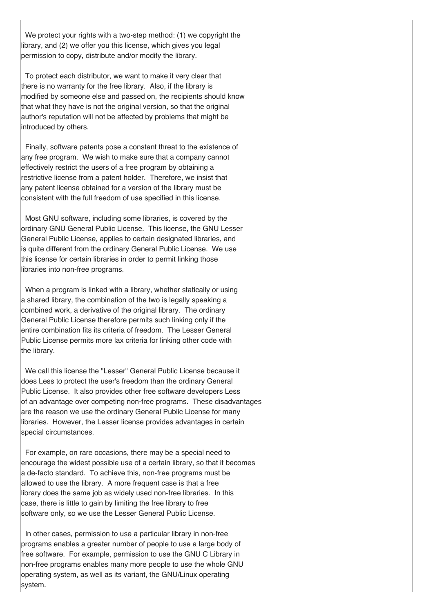We protect your rights with a two-step method: (1) we copyright the library, and (2) we offer you this license, which gives you legal permission to copy, distribute and/or modify the library.

To protect each distributor, we want to make it very clear that there is no warranty for the free library. Also, if the library is modified by someone else and passed on, the recipients should know that what they have is not the original version, so that the original author's reputation will not be affected by problems that might be introduced by others.

Finally, software patents pose a constant threat to the existence of any free program. We wish to make sure that a company cannot effectively restrict the users of a free program by obtaining a restrictive license from a patent holder. Therefore, we insist that any patent license obtained for a version of the library must be consistent with the full freedom of use specified in this license.

Most GNU software, including some libraries, is covered by the ordinary GNU General Public License. This license, the GNU Lesser General Public License, applies to certain designated libraries, and is quite different from the ordinary General Public License. We use this license for certain libraries in order to permit linking those libraries into non-free programs.

When a program is linked with a library, whether statically or using a shared library, the combination of the two is legally speaking a combined work, a derivative of the original library. The ordinary General Public License therefore permits such linking only if the entire combination fits its criteria of freedom. The Lesser General Public License permits more lax criteria for linking other code with the library.

We call this license the "Lesser" General Public License because it does Less to protect the user's freedom than the ordinary General Public License. It also provides other free software developers Less of an advantage over competing non-free programs. These disadvantages are the reason we use the ordinary General Public License for many libraries. However, the Lesser license provides advantages in certain special circumstances.

For example, on rare occasions, there may be a special need to encourage the widest possible use of a certain library, so that it becomes a de-facto standard. To achieve this, non-free programs must be allowed to use the library. A more frequent case is that a free library does the same job as widely used non-free libraries. In this case, there is little to gain by limiting the free library to free software only, so we use the Lesser General Public License.

In other cases, permission to use a particular library in non-free programs enables a greater number of people to use a large body of free software. For example, permission to use the GNU C Library in non-free programs enables many more people to use the whole GNU operating system, as well as its variant, the GNU/Linux operating system.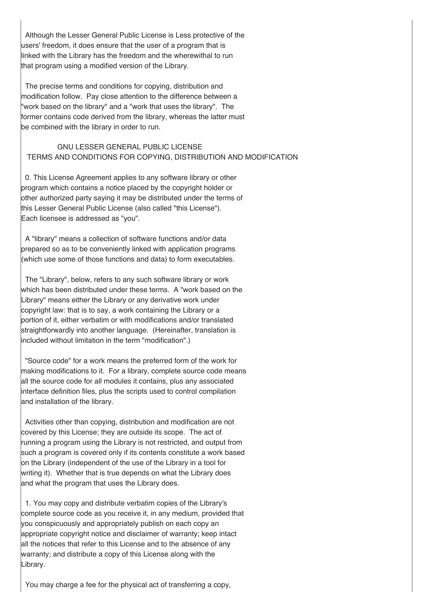Although the Lesser General Public License is Less protective of the users' freedom, it does ensure that the user of a program that is linked with the Library has the freedom and the wherewithal to run that program using a modified version of the Library.

The precise terms and conditions for copying, distribution and modification follow. Pay close attention to the difference between a "work based on the library" and a "work that uses the library". The former contains code derived from the library, whereas the latter must be combined with the library in order to run.

### GNU LESSER GENERAL PUBLIC LICENSE TERMS AND CONDITIONS FOR COPYING, DISTRIBUTION AND MODIFICATION

0. This License Agreement applies to any software library or other program which contains a notice placed by the copyright holder or other authorized party saying it may be distributed under the terms of this Lesser General Public License (also called "this License"). Each licensee is addressed as "you".

A "library" means a collection of software functions and/or data prepared so as to be conveniently linked with application programs (which use some of those functions and data) to form executables.

The "Library", below, refers to any such software library or work which has been distributed under these terms. A "work based on the Library" means either the Library or any derivative work under copyright law: that is to say, a work containing the Library or a portion of it, either verbatim or with modifications and/or translated straightforwardly into another language. (Hereinafter, translation is included without limitation in the term "modification".)

"Source code" for a work means the preferred form of the work for making modifications to it. For a library, complete source code means all the source code for all modules it contains, plus any associated interface definition files, plus the scripts used to control compilation and installation of the library.

Activities other than copying, distribution and modification are not covered by this License; they are outside its scope. The act of running a program using the Library is not restricted, and output from such a program is covered only if its contents constitute a work based on the Library (independent of the use of the Library in a tool for writing it). Whether that is true depends on what the Library does and what the program that uses the Library does.

1. You may copy and distribute verbatim copies of the Library's complete source code as you receive it, in any medium, provided that you conspicuously and appropriately publish on each copy an appropriate copyright notice and disclaimer of warranty; keep intact all the notices that refer to this License and to the absence of any warranty; and distribute a copy of this License along with the Library.

You may charge a fee for the physical act of transferring a copy,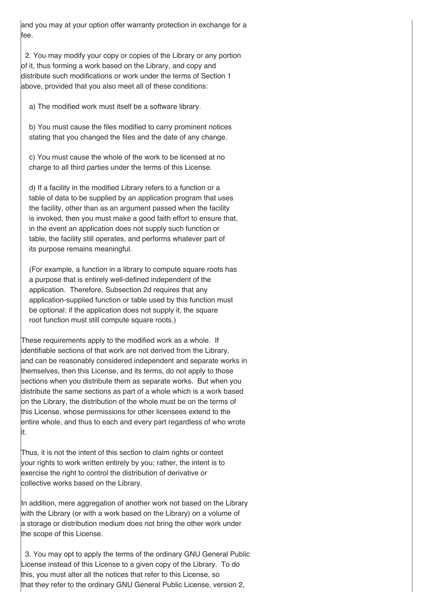and you may at your option offer warranty protection in exchange for a fee.

2. You may modify your copy or copies of the Library or any portion of it, thus forming a work based on the Library, and copy and distribute such modifications or work under the terms of Section 1 above, provided that you also meet all of these conditions:

a) The modified work must itself be a software library.

b) You must cause the files modified to carry prominent notices stating that you changed the files and the date of any change.

c) You must cause the whole of the work to be licensed at no charge to all third parties under the terms of this License.

d) If a facility in the modified Library refers to a function or a table of data to be supplied by an application program that uses the facility, other than as an argument passed when the facility is invoked, then you must make a good faith effort to ensure that, in the event an application does not supply such function or table, the facility still operates, and performs whatever part of its purpose remains meaningful.

(For example, a function in a library to compute square roots has a purpose that is entirely well-defined independent of the application. Therefore, Subsection 2d requires that any application-supplied function or table used by this function must be optional: if the application does not supply it, the square root function must still compute square roots.)

These requirements apply to the modified work as a whole. If identifiable sections of that work are not derived from the Library, and can be reasonably considered independent and separate works in themselves, then this License, and its terms, do not apply to those sections when you distribute them as separate works. But when you distribute the same sections as part of a whole which is a work based on the Library, the distribution of the whole must be on the terms of this License, whose permissions for other licensees extend to the entire whole, and thus to each and every part regardless of who wrote it.

Thus, it is not the intent of this section to claim rights or contest your rights to work written entirely by you; rather, the intent is to exercise the right to control the distribution of derivative or collective works based on the Library.

In addition, mere aggregation of another work not based on the Library with the Library (or with a work based on the Library) on a volume of a storage or distribution medium does not bring the other work under the scope of this License.

3. You may opt to apply the terms of the ordinary GNU General Public License instead of this License to a given copy of the Library. To do this, you must alter all the notices that refer to this License, so that they refer to the ordinary GNU General Public License, version 2,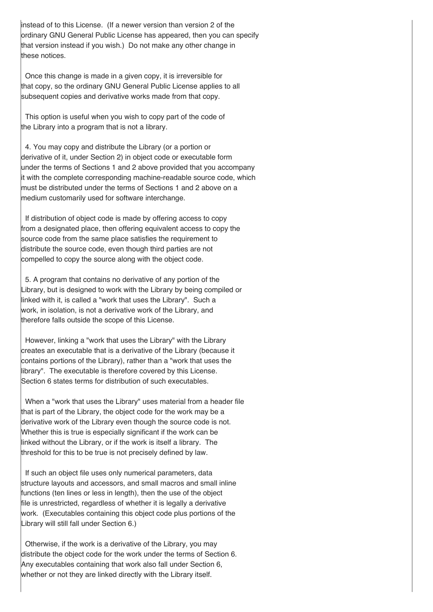instead of to this License. (If a newer version than version 2 of the ordinary GNU General Public License has appeared, then you can specify that version instead if you wish.) Do not make any other change in these notices.

Once this change is made in a given copy, it is irreversible for that copy, so the ordinary GNU General Public License applies to all subsequent copies and derivative works made from that copy.

This option is useful when you wish to copy part of the code of the Library into a program that is not a library.

4. You may copy and distribute the Library (or a portion or derivative of it, under Section 2) in object code or executable form under the terms of Sections 1 and 2 above provided that you accompany it with the complete corresponding machine-readable source code, which must be distributed under the terms of Sections 1 and 2 above on a medium customarily used for software interchange.

If distribution of object code is made by offering access to copy from a designated place, then offering equivalent access to copy the source code from the same place satisfies the requirement to distribute the source code, even though third parties are not compelled to copy the source along with the object code.

5. A program that contains no derivative of any portion of the Library, but is designed to work with the Library by being compiled or linked with it, is called a "work that uses the Library". Such a work, in isolation, is not a derivative work of the Library, and therefore falls outside the scope of this License.

However, linking a "work that uses the Library" with the Library creates an executable that is a derivative of the Library (because it contains portions of the Library), rather than a "work that uses the library". The executable is therefore covered by this License. Section 6 states terms for distribution of such executables.

When a "work that uses the Library" uses material from a header file that is part of the Library, the object code for the work may be a derivative work of the Library even though the source code is not. Whether this is true is especially significant if the work can be linked without the Library, or if the work is itself a library. The threshold for this to be true is not precisely defined by law.

If such an object file uses only numerical parameters, data structure layouts and accessors, and small macros and small inline functions (ten lines or less in length), then the use of the object file is unrestricted, regardless of whether it is legally a derivative work. (Executables containing this object code plus portions of the Library will still fall under Section 6.)

Otherwise, if the work is a derivative of the Library, you may distribute the object code for the work under the terms of Section 6. Any executables containing that work also fall under Section 6, whether or not they are linked directly with the Library itself.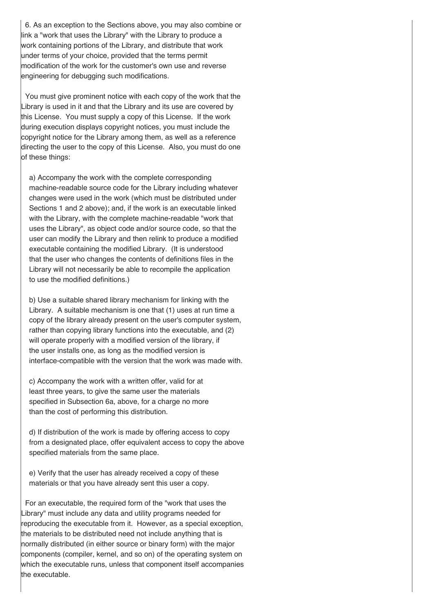6. As an exception to the Sections above, you may also combine or link a "work that uses the Library" with the Library to produce a work containing portions of the Library, and distribute that work under terms of your choice, provided that the terms permit modification of the work for the customer's own use and reverse engineering for debugging such modifications.

You must give prominent notice with each copy of the work that the Library is used in it and that the Library and its use are covered by this License. You must supply a copy of this License. If the work during execution displays copyright notices, you must include the copyright notice for the Library among them, as well as a reference directing the user to the copy of this License. Also, you must do one of these things:

a) Accompany the work with the complete corresponding machine-readable source code for the Library including whatever changes were used in the work (which must be distributed under Sections 1 and 2 above); and, if the work is an executable linked with the Library, with the complete machine-readable "work that uses the Library", as object code and/or source code, so that the user can modify the Library and then relink to produce a modified executable containing the modified Library. (It is understood that the user who changes the contents of definitions files in the Library will not necessarily be able to recompile the application to use the modified definitions.)

b) Use a suitable shared library mechanism for linking with the Library. A suitable mechanism is one that (1) uses at run time a copy of the library already present on the user's computer system, rather than copying library functions into the executable, and (2) will operate properly with a modified version of the library, if the user installs one, as long as the modified version is interface-compatible with the version that the work was made with.

c) Accompany the work with a written offer, valid for at least three years, to give the same user the materials specified in Subsection 6a, above, for a charge no more than the cost of performing this distribution.

d) If distribution of the work is made by offering access to copy from a designated place, offer equivalent access to copy the above specified materials from the same place.

e) Verify that the user has already received a copy of these materials or that you have already sent this user a copy.

For an executable, the required form of the "work that uses the Library" must include any data and utility programs needed for reproducing the executable from it. However, as a special exception, the materials to be distributed need not include anything that is normally distributed (in either source or binary form) with the major components (compiler, kernel, and so on) of the operating system on which the executable runs, unless that component itself accompanies the executable.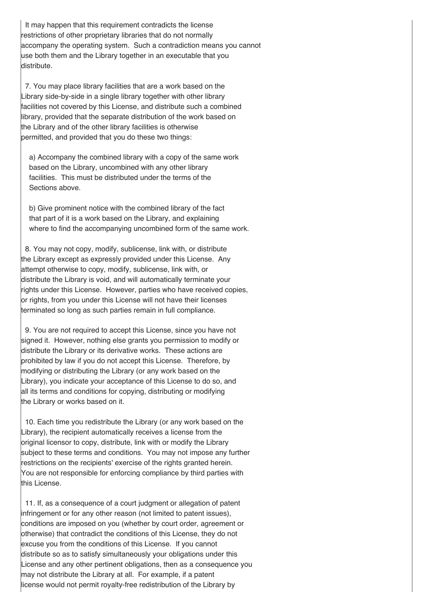It may happen that this requirement contradicts the license restrictions of other proprietary libraries that do not normally accompany the operating system. Such a contradiction means you cannot use both them and the Library together in an executable that you distribute.

7. You may place library facilities that are a work based on the Library side-by-side in a single library together with other library facilities not covered by this License, and distribute such a combined library, provided that the separate distribution of the work based on the Library and of the other library facilities is otherwise permitted, and provided that you do these two things:

a) Accompany the combined library with a copy of the same work based on the Library, uncombined with any other library facilities. This must be distributed under the terms of the Sections above.

b) Give prominent notice with the combined library of the fact that part of it is a work based on the Library, and explaining where to find the accompanying uncombined form of the same work.

8. You may not copy, modify, sublicense, link with, or distribute the Library except as expressly provided under this License. Any attempt otherwise to copy, modify, sublicense, link with, or distribute the Library is void, and will automatically terminate your rights under this License. However, parties who have received copies, or rights, from you under this License will not have their licenses terminated so long as such parties remain in full compliance.

9. You are not required to accept this License, since you have not signed it. However, nothing else grants you permission to modify or distribute the Library or its derivative works. These actions are prohibited by law if you do not accept this License. Therefore, by modifying or distributing the Library (or any work based on the Library), you indicate your acceptance of this License to do so, and all its terms and conditions for copying, distributing or modifying the Library or works based on it.

10. Each time you redistribute the Library (or any work based on the Library), the recipient automatically receives a license from the original licensor to copy, distribute, link with or modify the Library subject to these terms and conditions. You may not impose any further restrictions on the recipients' exercise of the rights granted herein. You are not responsible for enforcing compliance by third parties with this License.

11. If, as a consequence of a court judgment or allegation of patent infringement or for any other reason (not limited to patent issues), conditions are imposed on you (whether by court order, agreement or otherwise) that contradict the conditions of this License, they do not excuse you from the conditions of this License. If you cannot distribute so as to satisfy simultaneously your obligations under this License and any other pertinent obligations, then as a consequence you may not distribute the Library at all. For example, if a patent license would not permit royalty-free redistribution of the Library by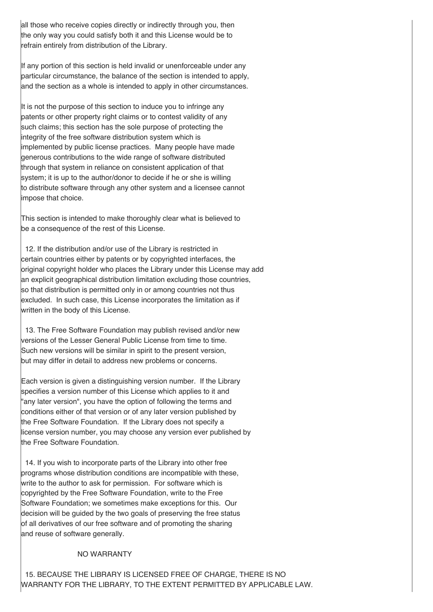all those who receive copies directly or indirectly through you, then the only way you could satisfy both it and this License would be to refrain entirely from distribution of the Library.

If any portion of this section is held invalid or unenforceable under any particular circumstance, the balance of the section is intended to apply, and the section as a whole is intended to apply in other circumstances.

It is not the purpose of this section to induce you to infringe any patents or other property right claims or to contest validity of any such claims; this section has the sole purpose of protecting the integrity of the free software distribution system which is implemented by public license practices. Many people have made generous contributions to the wide range of software distributed through that system in reliance on consistent application of that system; it is up to the author/donor to decide if he or she is willing to distribute software through any other system and a licensee cannot impose that choice.

This section is intended to make thoroughly clear what is believed to be a consequence of the rest of this License.

12. If the distribution and/or use of the Library is restricted in certain countries either by patents or by copyrighted interfaces, the original copyright holder who places the Library under this License may add an explicit geographical distribution limitation excluding those countries, so that distribution is permitted only in or among countries not thus excluded. In such case, this License incorporates the limitation as if written in the body of this License.

13. The Free Software Foundation may publish revised and/or new versions of the Lesser General Public License from time to time. Such new versions will be similar in spirit to the present version, but may differ in detail to address new problems or concerns.

Each version is given a distinguishing version number. If the Library specifies a version number of this License which applies to it and "any later version", you have the option of following the terms and conditions either of that version or of any later version published by the Free Software Foundation. If the Library does not specify a license version number, you may choose any version ever published by the Free Software Foundation.

14. If you wish to incorporate parts of the Library into other free programs whose distribution conditions are incompatible with these, write to the author to ask for permission. For software which is copyrighted by the Free Software Foundation, write to the Free Software Foundation; we sometimes make exceptions for this. Our decision will be guided by the two goals of preserving the free status of all derivatives of our free software and of promoting the sharing and reuse of software generally.

### NO WARRANTY

15. BECAUSE THE LIBRARY IS LICENSED FREE OF CHARGE, THERE IS NO WARRANTY FOR THE LIBRARY, TO THE EXTENT PERMITTED BY APPLICABLE LAW.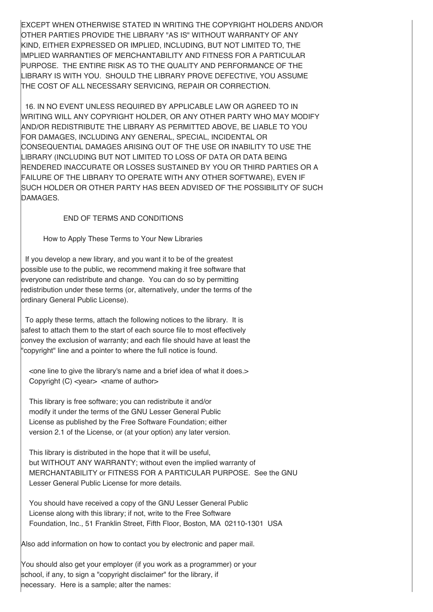EXCEPT WHEN OTHERWISE STATED IN WRITING THE COPYRIGHT HOLDERS AND/OR OTHER PARTIES PROVIDE THE LIBRARY "AS IS" WITHOUT WARRANTY OF ANY KIND, EITHER EXPRESSED OR IMPLIED, INCLUDING, BUT NOT LIMITED TO, THE IMPLIED WARRANTIES OF MERCHANTABILITY AND FITNESS FOR A PARTICULAR PURPOSE. THE ENTIRE RISK AS TO THE QUALITY AND PERFORMANCE OF THE LIBRARY IS WITH YOU. SHOULD THE LIBRARY PROVE DEFECTIVE, YOU ASSUME THE COST OF ALL NECESSARY SERVICING, REPAIR OR CORRECTION.

16. IN NO EVENT UNLESS REQUIRED BY APPLICABLE LAW OR AGREED TO IN WRITING WILL ANY COPYRIGHT HOLDER, OR ANY OTHER PARTY WHO MAY MODIFY AND/OR REDISTRIBUTE THE LIBRARY AS PERMITTED ABOVE, BE LIABLE TO YOU FOR DAMAGES, INCLUDING ANY GENERAL, SPECIAL, INCIDENTAL OR CONSEQUENTIAL DAMAGES ARISING OUT OF THE USE OR INABILITY TO USE THE LIBRARY (INCLUDING BUT NOT LIMITED TO LOSS OF DATA OR DATA BEING RENDERED INACCURATE OR LOSSES SUSTAINED BY YOU OR THIRD PARTIES OR A FAILURE OF THE LIBRARY TO OPERATE WITH ANY OTHER SOFTWARE), EVEN IF SUCH HOLDER OR OTHER PARTY HAS BEEN ADVISED OF THE POSSIBILITY OF SUCH DAMAGES.

END OF TERMS AND CONDITIONS

How to Apply These Terms to Your New Libraries

If you develop a new library, and you want it to be of the greatest possible use to the public, we recommend making it free software that everyone can redistribute and change. You can do so by permitting redistribution under these terms (or, alternatively, under the terms of the ordinary General Public License).

To apply these terms, attach the following notices to the library. It is safest to attach them to the start of each source file to most effectively convey the exclusion of warranty; and each file should have at least the "copyright" line and a pointer to where the full notice is found.

<one line to give the library's name and a brief idea of what it does.> Copyright  $(C)$  <year > <name of author>

This library is free software; you can redistribute it and/or modify it under the terms of the GNU Lesser General Public License as published by the Free Software Foundation; either version 2.1 of the License, or (at your option) any later version.

This library is distributed in the hope that it will be useful, but WITHOUT ANY WARRANTY; without even the implied warranty of MERCHANTABILITY or FITNESS FOR A PARTICULAR PURPOSE. See the GNU Lesser General Public License for more details.

You should have received a copy of the GNU Lesser General Public License along with this library; if not, write to the Free Software Foundation, Inc., 51 Franklin Street, Fifth Floor, Boston, MA 02110-1301 USA

Also add information on how to contact you by electronic and paper mail.

You should also get your employer (if you work as a programmer) or your school, if any, to sign a "copyright disclaimer" for the library, if necessary. Here is a sample; alter the names: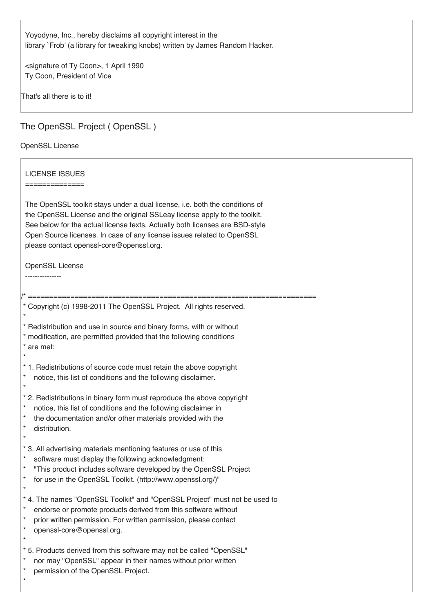Yoyodyne, Inc., hereby disclaims all copyright interest in the library `Frob' (a library for tweaking knobs) written by James Random Hacker.

<signature of Ty Coon>, 1 April 1990 Ty Coon, President of Vice

That's all there is to it!

# The OpenSSL Project ( OpenSSL )

### OpenSSL License

| <b>LICENSE ISSUES</b><br>==============<br>The OpenSSL toolkit stays under a dual license, i.e. both the conditions of<br>the OpenSSL License and the original SSLeay license apply to the toolkit.<br>See below for the actual license texts. Actually both licenses are BSD-style<br>Open Source licenses. In case of any license issues related to OpenSSL<br>please contact openssl-core@openssl.org. |
|-----------------------------------------------------------------------------------------------------------------------------------------------------------------------------------------------------------------------------------------------------------------------------------------------------------------------------------------------------------------------------------------------------------|
| <b>OpenSSL License</b>                                                                                                                                                                                                                                                                                                                                                                                    |
| =========                                                                                                                                                                                                                                                                                                                                                                                                 |
| * Copyright (c) 1998-2011 The OpenSSL Project. All rights reserved.                                                                                                                                                                                                                                                                                                                                       |
| * Redistribution and use in source and binary forms, with or without<br>* modification, are permitted provided that the following conditions<br>* are met:                                                                                                                                                                                                                                                |
| * 1. Redistributions of source code must retain the above copyright<br>$\ast$<br>notice, this list of conditions and the following disclaimer.<br>$\star$                                                                                                                                                                                                                                                 |
| * 2. Redistributions in binary form must reproduce the above copyright<br>$\ast$<br>notice, this list of conditions and the following disclaimer in<br>$\ast$<br>the documentation and/or other materials provided with the<br>$\ast$<br>distribution.<br>$\star$                                                                                                                                         |
| * 3. All advertising materials mentioning features or use of this<br>$\star$<br>software must display the following acknowledgment:<br>$\ast$<br>"This product includes software developed by the OpenSSL Project<br>$\ast$<br>for use in the OpenSSL Toolkit. (http://www.openssl.org/)"                                                                                                                 |
| * 4. The names "OpenSSL Toolkit" and "OpenSSL Project" must not be used to<br>$\ast$<br>endorse or promote products derived from this software without<br>$\star$<br>prior written permission. For written permission, please contact<br>$^{\star}$<br>openssl-core@openssl.org.<br>$\star$                                                                                                               |
| * 5. Products derived from this software may not be called "OpenSSL"<br>$\ast$<br>nor may "OpenSSL" appear in their names without prior written<br>$\star$<br>permission of the OpenSSL Project.<br>$\star$                                                                                                                                                                                               |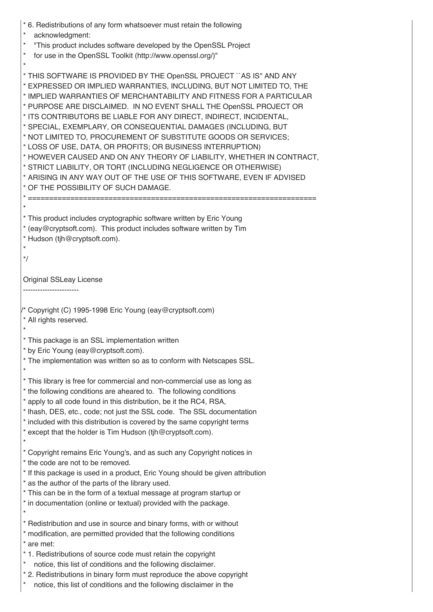| acknowledgment:                                                                                                                                                                                                                                                                                                                                                                                                                                                                                                                                                                                                                                                                                                                                                                                                                |  |
|--------------------------------------------------------------------------------------------------------------------------------------------------------------------------------------------------------------------------------------------------------------------------------------------------------------------------------------------------------------------------------------------------------------------------------------------------------------------------------------------------------------------------------------------------------------------------------------------------------------------------------------------------------------------------------------------------------------------------------------------------------------------------------------------------------------------------------|--|
| $^\star$<br>"This product includes software developed by the OpenSSL Project                                                                                                                                                                                                                                                                                                                                                                                                                                                                                                                                                                                                                                                                                                                                                   |  |
| for use in the OpenSSL Toolkit (http://www.openssl.org/)"<br>$^{\star}$                                                                                                                                                                                                                                                                                                                                                                                                                                                                                                                                                                                                                                                                                                                                                        |  |
| * THIS SOFTWARE IS PROVIDED BY THE OpenSSL PROJECT "AS IS" AND ANY<br>* EXPRESSED OR IMPLIED WARRANTIES, INCLUDING, BUT NOT LIMITED TO, THE<br>* IMPLIED WARRANTIES OF MERCHANTABILITY AND FITNESS FOR A PARTICULAR<br>* PURPOSE ARE DISCLAIMED. IN NO EVENT SHALL THE OpenSSL PROJECT OR<br>* ITS CONTRIBUTORS BE LIABLE FOR ANY DIRECT, INDIRECT, INCIDENTAL,<br>* SPECIAL, EXEMPLARY, OR CONSEQUENTIAL DAMAGES (INCLUDING, BUT<br>* NOT LIMITED TO, PROCUREMENT OF SUBSTITUTE GOODS OR SERVICES;<br>* LOSS OF USE, DATA, OR PROFITS; OR BUSINESS INTERRUPTION)<br>* HOWEVER CAUSED AND ON ANY THEORY OF LIABILITY, WHETHER IN CONTRACT,<br>* STRICT LIABILITY, OR TORT (INCLUDING NEGLIGENCE OR OTHERWISE)<br>* ARISING IN ANY WAY OUT OF THE USE OF THIS SOFTWARE, EVEN IF ADVISED<br>* OF THE POSSIBILITY OF SUCH DAMAGE. |  |
|                                                                                                                                                                                                                                                                                                                                                                                                                                                                                                                                                                                                                                                                                                                                                                                                                                |  |
| * This product includes cryptographic software written by Eric Young<br>* (eay@cryptsoft.com). This product includes software written by Tim<br>* Hudson (tjh@cryptsoft.com).                                                                                                                                                                                                                                                                                                                                                                                                                                                                                                                                                                                                                                                  |  |
| $^*/$                                                                                                                                                                                                                                                                                                                                                                                                                                                                                                                                                                                                                                                                                                                                                                                                                          |  |
|                                                                                                                                                                                                                                                                                                                                                                                                                                                                                                                                                                                                                                                                                                                                                                                                                                |  |
| <b>Original SSLeay License</b><br>---------------------                                                                                                                                                                                                                                                                                                                                                                                                                                                                                                                                                                                                                                                                                                                                                                        |  |
|                                                                                                                                                                                                                                                                                                                                                                                                                                                                                                                                                                                                                                                                                                                                                                                                                                |  |
| <sup>/*</sup> Copyright (C) 1995-1998 Eric Young (eay@cryptsoft.com)<br>* All rights reserved.                                                                                                                                                                                                                                                                                                                                                                                                                                                                                                                                                                                                                                                                                                                                 |  |
| * This package is an SSL implementation written                                                                                                                                                                                                                                                                                                                                                                                                                                                                                                                                                                                                                                                                                                                                                                                |  |
| * by Eric Young (eay@cryptsoft.com).                                                                                                                                                                                                                                                                                                                                                                                                                                                                                                                                                                                                                                                                                                                                                                                           |  |
| * The implementation was written so as to conform with Netscapes SSL.                                                                                                                                                                                                                                                                                                                                                                                                                                                                                                                                                                                                                                                                                                                                                          |  |
| * This library is free for commercial and non-commercial use as long as                                                                                                                                                                                                                                                                                                                                                                                                                                                                                                                                                                                                                                                                                                                                                        |  |
|                                                                                                                                                                                                                                                                                                                                                                                                                                                                                                                                                                                                                                                                                                                                                                                                                                |  |
| * the following conditions are aheared to. The following conditions                                                                                                                                                                                                                                                                                                                                                                                                                                                                                                                                                                                                                                                                                                                                                            |  |
| * apply to all code found in this distribution, be it the RC4, RSA,                                                                                                                                                                                                                                                                                                                                                                                                                                                                                                                                                                                                                                                                                                                                                            |  |
| * Ihash, DES, etc., code; not just the SSL code. The SSL documentation                                                                                                                                                                                                                                                                                                                                                                                                                                                                                                                                                                                                                                                                                                                                                         |  |
| * included with this distribution is covered by the same copyright terms                                                                                                                                                                                                                                                                                                                                                                                                                                                                                                                                                                                                                                                                                                                                                       |  |
| * except that the holder is Tim Hudson (tjh@cryptsoft.com).<br>$^{\star}$                                                                                                                                                                                                                                                                                                                                                                                                                                                                                                                                                                                                                                                                                                                                                      |  |
| * Copyright remains Eric Young's, and as such any Copyright notices in                                                                                                                                                                                                                                                                                                                                                                                                                                                                                                                                                                                                                                                                                                                                                         |  |
| * the code are not to be removed.                                                                                                                                                                                                                                                                                                                                                                                                                                                                                                                                                                                                                                                                                                                                                                                              |  |
| * If this package is used in a product, Eric Young should be given attribution                                                                                                                                                                                                                                                                                                                                                                                                                                                                                                                                                                                                                                                                                                                                                 |  |
| * as the author of the parts of the library used.<br>* This can be in the form of a textual message at program startup or                                                                                                                                                                                                                                                                                                                                                                                                                                                                                                                                                                                                                                                                                                      |  |
| * in documentation (online or textual) provided with the package.                                                                                                                                                                                                                                                                                                                                                                                                                                                                                                                                                                                                                                                                                                                                                              |  |
|                                                                                                                                                                                                                                                                                                                                                                                                                                                                                                                                                                                                                                                                                                                                                                                                                                |  |
| * Redistribution and use in source and binary forms, with or without                                                                                                                                                                                                                                                                                                                                                                                                                                                                                                                                                                                                                                                                                                                                                           |  |
| * modification, are permitted provided that the following conditions                                                                                                                                                                                                                                                                                                                                                                                                                                                                                                                                                                                                                                                                                                                                                           |  |
| * are met:                                                                                                                                                                                                                                                                                                                                                                                                                                                                                                                                                                                                                                                                                                                                                                                                                     |  |
| * 1. Redistributions of source code must retain the copyright<br>*                                                                                                                                                                                                                                                                                                                                                                                                                                                                                                                                                                                                                                                                                                                                                             |  |
| notice, this list of conditions and the following disclaimer.<br>* 2. Redistributions in binary form must reproduce the above copyright                                                                                                                                                                                                                                                                                                                                                                                                                                                                                                                                                                                                                                                                                        |  |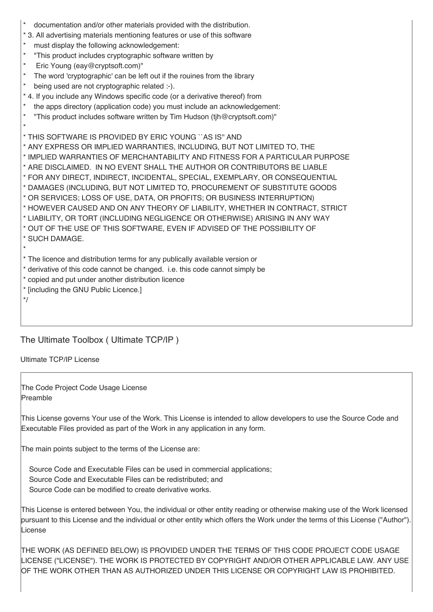|  | documentation and/or other materials provided with the distribution. |  |  |  |  |  |  |
|--|----------------------------------------------------------------------|--|--|--|--|--|--|
|--|----------------------------------------------------------------------|--|--|--|--|--|--|

- \* 3. All advertising materials mentioning features or use of this software
- \* must display the following acknowledgement:<br>\* Finis product includes cryptographic software
- "This product includes cryptographic software written by
- Eric Young (eay@cryptsoft.com)"
- The word 'cryptographic' can be left out if the rouines from the library
- being used are not cryptographic related :-).
- \* 4. If you include any Windows specific code (or a derivative thereof) from
- the apps directory (application code) you must include an acknowledgement:
- "This product includes software written by Tim Hudson (tjh@cryptsoft.com)"

\* THIS SOFTWARE IS PROVIDED BY ERIC YOUNG ``AS IS'' AND

\* ANY EXPRESS OR IMPLIED WARRANTIES, INCLUDING, BUT NOT LIMITED TO, THE

\* IMPLIED WARRANTIES OF MERCHANTABILITY AND FITNESS FOR A PARTICULAR PURPOSE

\* ARE DISCLAIMED. IN NO EVENT SHALL THE AUTHOR OR CONTRIBUTORS BE LIABLE

- \* FOR ANY DIRECT, INDIRECT, INCIDENTAL, SPECIAL, EXEMPLARY, OR CONSEQUENTIAL
- \* DAMAGES (INCLUDING, BUT NOT LIMITED TO, PROCUREMENT OF SUBSTITUTE GOODS
- \* OR SERVICES; LOSS OF USE, DATA, OR PROFITS; OR BUSINESS INTERRUPTION)
- \* HOWEVER CAUSED AND ON ANY THEORY OF LIABILITY, WHETHER IN CONTRACT, STRICT
- \* LIABILITY, OR TORT (INCLUDING NEGLIGENCE OR OTHERWISE) ARISING IN ANY WAY

\* OUT OF THE USE OF THIS SOFTWARE, EVEN IF ADVISED OF THE POSSIBILITY OF \* SUCH DAMAGE.

\*

\*

\* The licence and distribution terms for any publically available version or

- \* derivative of this code cannot be changed. i.e. this code cannot simply be
- \* copied and put under another distribution licence
- \* [including the GNU Public Licence.]

\*/

## The Ultimate Toolbox ( Ultimate TCP/IP )

Ultimate TCP/IP License

The Code Project Code Usage License Preamble

This License governs Your use of the Work. This License is intended to allow developers to use the Source Code and Executable Files provided as part of the Work in any application in any form.

The main points subject to the terms of the License are:

Source Code and Executable Files can be used in commercial applications; Source Code and Executable Files can be redistributed; and Source Code can be modified to create derivative works.

This License is entered between You, the individual or other entity reading or otherwise making use of the Work licensed pursuant to this License and the individual or other entity which offers the Work under the terms of this License ("Author"). License

THE WORK (AS DEFINED BELOW) IS PROVIDED UNDER THE TERMS OF THIS CODE PROJECT CODE USAGE LICENSE ("LICENSE"). THE WORK IS PROTECTED BY COPYRIGHT AND/OR OTHER APPLICABLE LAW. ANY USE OF THE WORK OTHER THAN AS AUTHORIZED UNDER THIS LICENSE OR COPYRIGHT LAW IS PROHIBITED.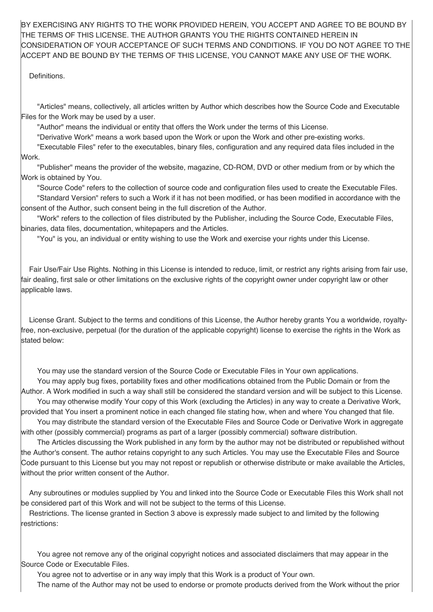BY EXERCISING ANY RIGHTS TO THE WORK PROVIDED HEREIN, YOU ACCEPT AND AGREE TO BE BOUND BY THE TERMS OF THIS LICENSE. THE AUTHOR GRANTS YOU THE RIGHTS CONTAINED HEREIN IN CONSIDERATION OF YOUR ACCEPTANCE OF SUCH TERMS AND CONDITIONS. IF YOU DO NOT AGREE TO THE ACCEPT AND BE BOUND BY THE TERMS OF THIS LICENSE, YOU CANNOT MAKE ANY USE OF THE WORK.

Definitions.

"Articles" means, collectively, all articles written by Author which describes how the Source Code and Executable Files for the Work may be used by a user.

"Author" means the individual or entity that offers the Work under the terms of this License.

"Derivative Work" means a work based upon the Work or upon the Work and other pre-existing works.

"Executable Files" refer to the executables, binary files, configuration and any required data files included in the Work.

"Publisher" means the provider of the website, magazine, CD-ROM, DVD or other medium from or by which the Work is obtained by You.

"Source Code" refers to the collection of source code and configuration files used to create the Executable Files. "Standard Version" refers to such a Work if it has not been modified, or has been modified in accordance with the consent of the Author, such consent being in the full discretion of the Author.

"Work" refers to the collection of files distributed by the Publisher, including the Source Code, Executable Files, binaries, data files, documentation, whitepapers and the Articles.

"You" is you, an individual or entity wishing to use the Work and exercise your rights under this License.

Fair Use/Fair Use Rights. Nothing in this License is intended to reduce, limit, or restrict any rights arising from fair use, fair dealing, first sale or other limitations on the exclusive rights of the copyright owner under copyright law or other applicable laws.

License Grant. Subject to the terms and conditions of this License, the Author hereby grants You a worldwide, royaltyfree, non-exclusive, perpetual (for the duration of the applicable copyright) license to exercise the rights in the Work as stated below:

You may use the standard version of the Source Code or Executable Files in Your own applications.

You may apply bug fixes, portability fixes and other modifications obtained from the Public Domain or from the Author. A Work modified in such a way shall still be considered the standard version and will be subject to this License.

You may otherwise modify Your copy of this Work (excluding the Articles) in any way to create a Derivative Work, provided that You insert a prominent notice in each changed file stating how, when and where You changed that file.

You may distribute the standard version of the Executable Files and Source Code or Derivative Work in aggregate with other (possibly commercial) programs as part of a larger (possibly commercial) software distribution.

The Articles discussing the Work published in any form by the author may not be distributed or republished without the Author's consent. The author retains copyright to any such Articles. You may use the Executable Files and Source Code pursuant to this License but you may not repost or republish or otherwise distribute or make available the Articles, without the prior written consent of the Author.

Any subroutines or modules supplied by You and linked into the Source Code or Executable Files this Work shall not be considered part of this Work and will not be subject to the terms of this License.

Restrictions. The license granted in Section 3 above is expressly made subject to and limited by the following restrictions:

You agree not remove any of the original copyright notices and associated disclaimers that may appear in the Source Code or Executable Files.

You agree not to advertise or in any way imply that this Work is a product of Your own.

The name of the Author may not be used to endorse or promote products derived from the Work without the prior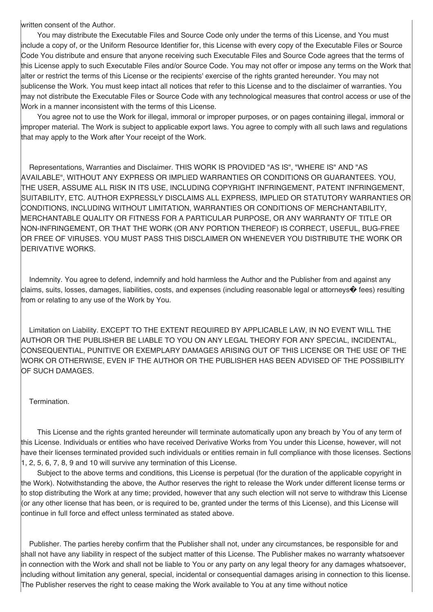written consent of the Author.

You may distribute the Executable Files and Source Code only under the terms of this License, and You must include a copy of, or the Uniform Resource Identifier for, this License with every copy of the Executable Files or Source Code You distribute and ensure that anyone receiving such Executable Files and Source Code agrees that the terms of this License apply to such Executable Files and/or Source Code. You may not offer or impose any terms on the Work that alter or restrict the terms of this License or the recipients' exercise of the rights granted hereunder. You may not sublicense the Work. You must keep intact all notices that refer to this License and to the disclaimer of warranties. You may not distribute the Executable Files or Source Code with any technological measures that control access or use of the Work in a manner inconsistent with the terms of this License.

You agree not to use the Work for illegal, immoral or improper purposes, or on pages containing illegal, immoral or improper material. The Work is subject to applicable export laws. You agree to comply with all such laws and regulations that may apply to the Work after Your receipt of the Work.

Representations, Warranties and Disclaimer. THIS WORK IS PROVIDED "AS IS", "WHERE IS" AND "AS AVAILABLE", WITHOUT ANY EXPRESS OR IMPLIED WARRANTIES OR CONDITIONS OR GUARANTEES. YOU, THE USER, ASSUME ALL RISK IN ITS USE, INCLUDING COPYRIGHT INFRINGEMENT, PATENT INFRINGEMENT, SUITABILITY, ETC. AUTHOR EXPRESSLY DISCLAIMS ALL EXPRESS, IMPLIED OR STATUTORY WARRANTIES OR CONDITIONS, INCLUDING WITHOUT LIMITATION, WARRANTIES OR CONDITIONS OF MERCHANTABILITY, MERCHANTABLE QUALITY OR FITNESS FOR A PARTICULAR PURPOSE, OR ANY WARRANTY OF TITLE OR NON-INFRINGEMENT, OR THAT THE WORK (OR ANY PORTION THEREOF) IS CORRECT, USEFUL, BUG-FREE OR FREE OF VIRUSES. YOU MUST PASS THIS DISCLAIMER ON WHENEVER YOU DISTRIBUTE THE WORK OR DERIVATIVE WORKS.

Indemnity. You agree to defend, indemnify and hold harmless the Author and the Publisher from and against any claims, suits, losses, damages, liabilities, costs, and expenses (including reasonable legal or attorneys� fees) resulting from or relating to any use of the Work by You.

Limitation on Liability. EXCEPT TO THE EXTENT REQUIRED BY APPLICABLE LAW, IN NO EVENT WILL THE AUTHOR OR THE PUBLISHER BE LIABLE TO YOU ON ANY LEGAL THEORY FOR ANY SPECIAL, INCIDENTAL, CONSEQUENTIAL, PUNITIVE OR EXEMPLARY DAMAGES ARISING OUT OF THIS LICENSE OR THE USE OF THE WORK OR OTHERWISE, EVEN IF THE AUTHOR OR THE PUBLISHER HAS BEEN ADVISED OF THE POSSIBILITY OF SUCH DAMAGES.

### Termination.

This License and the rights granted hereunder will terminate automatically upon any breach by You of any term of this License. Individuals or entities who have received Derivative Works from You under this License, however, will not have their licenses terminated provided such individuals or entities remain in full compliance with those licenses. Sections 1, 2, 5, 6, 7, 8, 9 and 10 will survive any termination of this License.

Subject to the above terms and conditions, this License is perpetual (for the duration of the applicable copyright in the Work). Notwithstanding the above, the Author reserves the right to release the Work under different license terms or to stop distributing the Work at any time; provided, however that any such election will not serve to withdraw this License (or any other license that has been, or is required to be, granted under the terms of this License), and this License will continue in full force and effect unless terminated as stated above.

Publisher. The parties hereby confirm that the Publisher shall not, under any circumstances, be responsible for and shall not have any liability in respect of the subject matter of this License. The Publisher makes no warranty whatsoever in connection with the Work and shall not be liable to You or any party on any legal theory for any damages whatsoever, including without limitation any general, special, incidental or consequential damages arising in connection to this license. The Publisher reserves the right to cease making the Work available to You at any time without notice